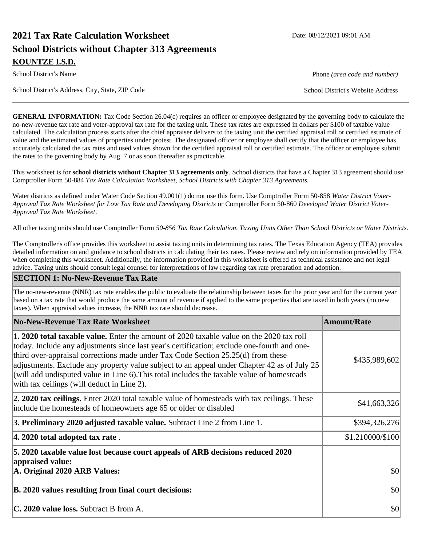# **2021 Tax Rate Calculation Worksheet Date: 08/12/2021 09:01 AM School Districts without Chapter 313 Agreements KOUNTZE I.S.D.**

School District's Address, City, State, ZIP Code School District's Website Address

**GENERAL INFORMATION:** Tax Code Section 26.04(c) requires an officer or employee designated by the governing body to calculate the no-new-revenue tax rate and voter-approval tax rate for the taxing unit. These tax rates are expressed in dollars per \$100 of taxable value calculated. The calculation process starts after the chief appraiser delivers to the taxing unit the certified appraisal roll or certified estimate of value and the estimated values of properties under protest. The designated officer or employee shall certify that the officer or employee has accurately calculated the tax rates and used values shown for the certified appraisal roll or certified estimate. The officer or employee submit the rates to the governing body by Aug. 7 or as soon thereafter as practicable.

This worksheet is for **school districts without Chapter 313 agreements only**. School districts that have a Chapter 313 agreement should use Comptroller Form 50-884 *Tax Rate Calculation Worksheet, School Districts with Chapter 313 Agreements.*

Water districts as defined under Water Code Section 49.001(1) do not use this form. Use Comptroller Form 50-858 *Water District Voter-Approval Tax Rate Worksheet for Low Tax Rate and Developing Districts* or Comptroller Form 50-860 *Developed Water District Voter-Approval Tax Rate Worksheet*.

All other taxing units should use Comptroller Form *50-856 Tax Rate Calculation, Taxing Units Other Than School Districts or Water Districts*.

The Comptroller's office provides this worksheet to assist taxing units in determining tax rates. The Texas Education Agency (TEA) provides detailed information on and guidance to school districts in calculating their tax rates. Please review and rely on information provided by TEA when completing this worksheet. Additionally, the information provided in this worksheet is offered as technical assistance and not legal advice. Taxing units should consult legal counsel for interpretations of law regarding tax rate preparation and adoption.

#### **SECTION 1: No-New-Revenue Tax Rate**

The no-new-revenue (NNR) tax rate enables the public to evaluate the relationship between taxes for the prior year and for the current year based on a tax rate that would produce the same amount of revenue if applied to the same properties that are taxed in both years (no new taxes). When appraisal values increase, the NNR tax rate should decrease.

| No-New-Revenue Tax Rate Worksheet                                                                                                                                                                                                                                                                                                                                                                                                                                                                                               | <b>Amount/Rate</b> |
|---------------------------------------------------------------------------------------------------------------------------------------------------------------------------------------------------------------------------------------------------------------------------------------------------------------------------------------------------------------------------------------------------------------------------------------------------------------------------------------------------------------------------------|--------------------|
| <b>1. 2020 total taxable value.</b> Enter the amount of 2020 taxable value on the 2020 tax roll<br>today. Include any adjustments since last year's certification; exclude one-fourth and one-<br>third over-appraisal corrections made under Tax Code Section $25.25(d)$ from these<br>adjustments. Exclude any property value subject to an appeal under Chapter 42 as of July 25<br>(will add undisputed value in Line 6). This total includes the taxable value of homesteads<br>with tax ceilings (will deduct in Line 2). | \$435,989,602      |
| <b>2. 2020 tax ceilings.</b> Enter 2020 total taxable value of homesteads with tax ceilings. These<br>include the homesteads of homeowners age 65 or older or disabled                                                                                                                                                                                                                                                                                                                                                          | \$41,663,326       |
| 3. Preliminary 2020 adjusted taxable value. Subtract Line 2 from Line 1.                                                                                                                                                                                                                                                                                                                                                                                                                                                        | \$394,326,276      |
| $ 4.2020$ total adopted tax rate.                                                                                                                                                                                                                                                                                                                                                                                                                                                                                               | \$1.210000/\$100   |
| 5. 2020 taxable value lost because court appeals of ARB decisions reduced 2020<br>appraised value:<br>A. Original 2020 ARB Values:                                                                                                                                                                                                                                                                                                                                                                                              | \$0                |
| B. 2020 values resulting from final court decisions:                                                                                                                                                                                                                                                                                                                                                                                                                                                                            | \$0                |
| <b>C. 2020 value loss.</b> Subtract B from A.                                                                                                                                                                                                                                                                                                                                                                                                                                                                                   | \$0                |

School District's Name **Phone** *(area code and number)* Phone *(area code and number)*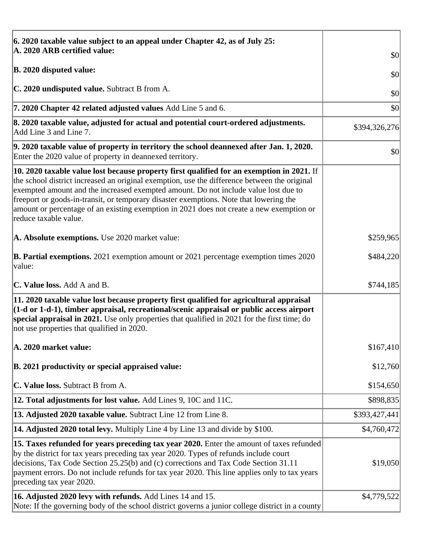| 6. 2020 taxable value subject to an appeal under Chapter 42, as of July 25:                                                                                                                                                                                                                                                                                                                                                                                                                             |               |
|---------------------------------------------------------------------------------------------------------------------------------------------------------------------------------------------------------------------------------------------------------------------------------------------------------------------------------------------------------------------------------------------------------------------------------------------------------------------------------------------------------|---------------|
| A. 2020 ARB certified value:                                                                                                                                                                                                                                                                                                                                                                                                                                                                            | \$0           |
| <b>B. 2020 disputed value:</b>                                                                                                                                                                                                                                                                                                                                                                                                                                                                          | \$0           |
| C. 2020 undisputed value. Subtract B from A.                                                                                                                                                                                                                                                                                                                                                                                                                                                            | \$0           |
| 7. 2020 Chapter 42 related adjusted values Add Line 5 and 6.                                                                                                                                                                                                                                                                                                                                                                                                                                            | \$0           |
| 8. 2020 taxable value, adjusted for actual and potential court-ordered adjustments.<br>Add Line 3 and Line 7.                                                                                                                                                                                                                                                                                                                                                                                           | \$394,326,276 |
| 9. 2020 taxable value of property in territory the school deannexed after Jan. 1, 2020.<br>Enter the 2020 value of property in deannexed territory.                                                                                                                                                                                                                                                                                                                                                     | \$0           |
| $\vert$ 10. 2020 taxable value lost because property first qualified for an exemption in 2021. If<br>the school district increased an original exemption, use the difference between the original<br>exempted amount and the increased exempted amount. Do not include value lost due to<br>freeport or goods-in-transit, or temporary disaster exemptions. Note that lowering the<br>amount or percentage of an existing exemption in 2021 does not create a new exemption or<br>reduce taxable value. |               |
| A. Absolute exemptions. Use 2020 market value:                                                                                                                                                                                                                                                                                                                                                                                                                                                          | \$259,965     |
| <b>B. Partial exemptions.</b> 2021 exemption amount or 2021 percentage exemption times 2020<br> value:                                                                                                                                                                                                                                                                                                                                                                                                  | \$484,220     |
| <b>C. Value loss.</b> Add A and B.                                                                                                                                                                                                                                                                                                                                                                                                                                                                      | \$744,185     |
| 11. 2020 taxable value lost because property first qualified for agricultural appraisal<br>$(1-d \text{ or } 1-d-1)$ , timber appraisal, recreational/scenic appraisal or public access airport<br>special appraisal in 2021. Use only properties that qualified in 2021 for the first time; do<br>not use properties that qualified in 2020.                                                                                                                                                           |               |
| A. 2020 market value:                                                                                                                                                                                                                                                                                                                                                                                                                                                                                   | \$167,410     |
| B. 2021 productivity or special appraised value:                                                                                                                                                                                                                                                                                                                                                                                                                                                        | \$12,760      |
| C. Value loss. Subtract B from A.                                                                                                                                                                                                                                                                                                                                                                                                                                                                       | \$154,650     |
| <b>12. Total adjustments for lost value.</b> Add Lines 9, 10C and 11C.                                                                                                                                                                                                                                                                                                                                                                                                                                  | \$898,835     |
| 13. Adjusted 2020 taxable value. Subtract Line 12 from Line 8.                                                                                                                                                                                                                                                                                                                                                                                                                                          | \$393,427,441 |
| <b>14. Adjusted 2020 total levy.</b> Multiply Line 4 by Line 13 and divide by \$100.                                                                                                                                                                                                                                                                                                                                                                                                                    | \$4,760,472   |
| [15. Taxes refunded for years preceding tax year 2020. Enter the amount of taxes refunded<br>by the district for tax years preceding tax year 2020. Types of refunds include court<br>decisions, Tax Code Section 25.25(b) and (c) corrections and Tax Code Section 31.11<br>payment errors. Do not include refunds for tax year 2020. This line applies only to tax years<br>preceding tax year 2020.                                                                                                  | \$19,050      |
| 16. Adjusted 2020 levy with refunds. Add Lines 14 and 15.<br>Note: If the governing body of the school district governs a junior college district in a county                                                                                                                                                                                                                                                                                                                                           | \$4,779,522   |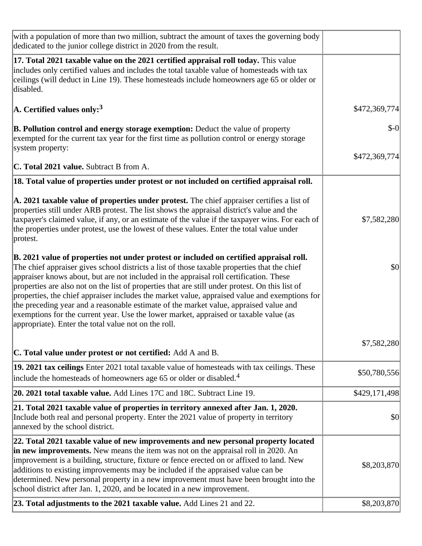| with a population of more than two million, subtract the amount of taxes the governing body<br>dedicated to the junior college district in 2020 from the result.                                                                                                                                                                                                                                                                                                                                                                                                                                                                                                                                                               |               |
|--------------------------------------------------------------------------------------------------------------------------------------------------------------------------------------------------------------------------------------------------------------------------------------------------------------------------------------------------------------------------------------------------------------------------------------------------------------------------------------------------------------------------------------------------------------------------------------------------------------------------------------------------------------------------------------------------------------------------------|---------------|
| 17. Total 2021 taxable value on the 2021 certified appraisal roll today. This value<br>includes only certified values and includes the total taxable value of homesteads with tax<br>ceilings (will deduct in Line 19). These homesteads include homeowners age 65 or older or<br>disabled.                                                                                                                                                                                                                                                                                                                                                                                                                                    |               |
| $\rm{A.}$ Certified values only: $^3$                                                                                                                                                                                                                                                                                                                                                                                                                                                                                                                                                                                                                                                                                          | \$472,369,774 |
| <b>B. Pollution control and energy storage exemption:</b> Deduct the value of property<br>exempted for the current tax year for the first time as pollution control or energy storage<br>system property:                                                                                                                                                                                                                                                                                                                                                                                                                                                                                                                      | $$-0$         |
|                                                                                                                                                                                                                                                                                                                                                                                                                                                                                                                                                                                                                                                                                                                                | \$472,369,774 |
| <b>C. Total 2021 value.</b> Subtract B from A.                                                                                                                                                                                                                                                                                                                                                                                                                                                                                                                                                                                                                                                                                 |               |
| 18. Total value of properties under protest or not included on certified appraisal roll.                                                                                                                                                                                                                                                                                                                                                                                                                                                                                                                                                                                                                                       |               |
| A. 2021 taxable value of properties under protest. The chief appraiser certifies a list of<br>properties still under ARB protest. The list shows the appraisal district's value and the<br>taxpayer's claimed value, if any, or an estimate of the value if the taxpayer wins. For each of<br>the properties under protest, use the lowest of these values. Enter the total value under<br>protest.                                                                                                                                                                                                                                                                                                                            | \$7,582,280   |
| B. 2021 value of properties not under protest or included on certified appraisal roll.<br>The chief appraiser gives school districts a list of those taxable properties that the chief<br>appraiser knows about, but are not included in the appraisal roll certification. These<br>properties are also not on the list of properties that are still under protest. On this list of<br>properties, the chief appraiser includes the market value, appraised value and exemptions for<br>the preceding year and a reasonable estimate of the market value, appraised value and<br>exemptions for the current year. Use the lower market, appraised or taxable value (as<br>appropriate). Enter the total value not on the roll. | \$0           |
| <b>C. Total value under protest or not certified:</b> Add A and B.                                                                                                                                                                                                                                                                                                                                                                                                                                                                                                                                                                                                                                                             | \$7,582,280   |
| 19. 2021 tax ceilings Enter 2021 total taxable value of homesteads with tax ceilings. These<br>include the homesteads of homeowners age 65 or older or disabled. <sup>4</sup>                                                                                                                                                                                                                                                                                                                                                                                                                                                                                                                                                  | \$50,780,556  |
| 20. 2021 total taxable value. Add Lines 17C and 18C. Subtract Line 19.                                                                                                                                                                                                                                                                                                                                                                                                                                                                                                                                                                                                                                                         | \$429,171,498 |
| 21. Total 2021 taxable value of properties in territory annexed after Jan. 1, 2020.<br>Include both real and personal property. Enter the 2021 value of property in territory<br>annexed by the school district.                                                                                                                                                                                                                                                                                                                                                                                                                                                                                                               | \$0           |
| 22. Total 2021 taxable value of new improvements and new personal property located<br>in new improvements. New means the item was not on the appraisal roll in 2020. An<br>improvement is a building, structure, fixture or fence erected on or affixed to land. New<br>additions to existing improvements may be included if the appraised value can be<br>determined. New personal property in a new improvement must have been brought into the<br>school district after Jan. 1, 2020, and be located in a new improvement.                                                                                                                                                                                                 | \$8,203,870   |
| 23. Total adjustments to the 2021 taxable value. Add Lines 21 and 22.                                                                                                                                                                                                                                                                                                                                                                                                                                                                                                                                                                                                                                                          | \$8,203,870   |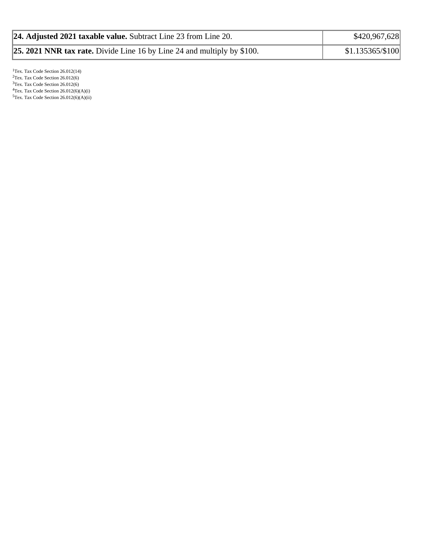| 24. Adjusted 2021 taxable value. Subtract Line 23 from Line 20.                | \$420,967,628    |
|--------------------------------------------------------------------------------|------------------|
| <b>25. 2021 NNR tax rate.</b> Divide Line 16 by Line 24 and multiply by \$100. | \$1.135365/\$100 |

<sup>1</sup>Tex. Tax Code Section 26.012(14)  $2$ Tex. Tax Code Section 26.012(6) <sup>3</sup>Tex. Tax Code Section 26.012(6)  ${}^{4}$ Tex. Tax Code Section 26.012(6)(A)(i)  $5$ Tex. Tax Code Section 26.012(6)(A)(ii)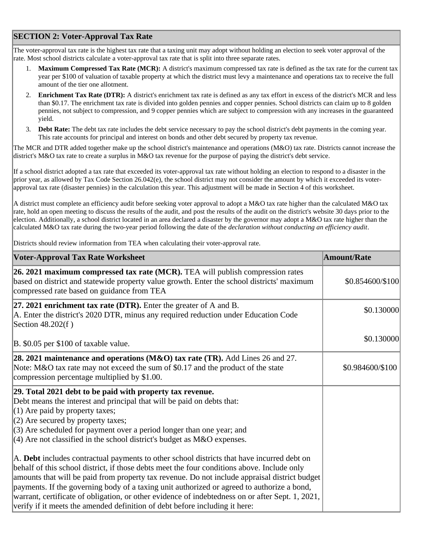## **SECTION 2: Voter-Approval Tax Rate**

The voter-approval tax rate is the highest tax rate that a taxing unit may adopt without holding an election to seek voter approval of the rate. Most school districts calculate a voter-approval tax rate that is split into three separate rates.

- 1. **Maximum Compressed Tax Rate (MCR):** A district's maximum compressed tax rate is defined as the tax rate for the current tax year per \$100 of valuation of taxable property at which the district must levy a maintenance and operations tax to receive the full amount of the tier one allotment.
- 2. **Enrichment Tax Rate (DTR):** A district's enrichment tax rate is defined as any tax effort in excess of the district's MCR and less than \$0.17. The enrichment tax rate is divided into golden pennies and copper pennies. School districts can claim up to 8 golden pennies, not subject to compression, and 9 copper pennies which are subject to compression with any increases in the guaranteed yield.
- 3. **Debt Rate:** The debt tax rate includes the debt service necessary to pay the school district's debt payments in the coming year. This rate accounts for principal and interest on bonds and other debt secured by property tax revenue.

The MCR and DTR added together make up the school district's maintenance and operations (M&O) tax rate. Districts cannot increase the district's M&O tax rate to create a surplus in M&O tax revenue for the purpose of paying the district's debt service.

If a school district adopted a tax rate that exceeded its voter-approval tax rate without holding an election to respond to a disaster in the prior year, as allowed by Tax Code Section 26.042(e), the school district may not consider the amount by which it exceeded its voterapproval tax rate (disaster pennies) in the calculation this year. This adjustment will be made in Section 4 of this worksheet.

A district must complete an efficiency audit before seeking voter approval to adopt a M&O tax rate higher than the calculated M&O tax rate, hold an open meeting to discuss the results of the audit, and post the results of the audit on the district's website 30 days prior to the election. Additionally, a school district located in an area declared a disaster by the governor may adopt a M&O tax rate higher than the calculated M&O tax rate during the two-year period following the date of the *declaration without conducting an efficiency audit*.

Districts should review information from TEA when calculating their voter-approval rate.

| <b>Voter-Approval Tax Rate Worksheet</b>                                                                                                                                                                                                                                                                                                                                                                                                                                                                                                                                    | <b>Amount/Rate</b> |
|-----------------------------------------------------------------------------------------------------------------------------------------------------------------------------------------------------------------------------------------------------------------------------------------------------------------------------------------------------------------------------------------------------------------------------------------------------------------------------------------------------------------------------------------------------------------------------|--------------------|
| 26. 2021 maximum compressed tax rate (MCR). TEA will publish compression rates<br>based on district and statewide property value growth. Enter the school districts' maximum<br>compressed rate based on guidance from TEA                                                                                                                                                                                                                                                                                                                                                  | \$0.854600/\$100   |
| 27. 2021 enrichment tax rate (DTR). Enter the greater of $A$ and $B$ .<br>A. Enter the district's 2020 DTR, minus any required reduction under Education Code<br>Section 48.202(f)                                                                                                                                                                                                                                                                                                                                                                                          | \$0.130000         |
| B. \$0.05 per \$100 of taxable value.                                                                                                                                                                                                                                                                                                                                                                                                                                                                                                                                       | \$0.130000         |
| 28. 2021 maintenance and operations (M&O) tax rate (TR). Add Lines 26 and 27.<br>Note: M&O tax rate may not exceed the sum of \$0.17 and the product of the state<br>compression percentage multiplied by \$1.00.                                                                                                                                                                                                                                                                                                                                                           | \$0.984600/\$100   |
| 29. Total 2021 debt to be paid with property tax revenue.<br>Debt means the interest and principal that will be paid on debts that:<br>$(1)$ Are paid by property taxes;<br>$(2)$ Are secured by property taxes;<br>$(3)$ Are scheduled for payment over a period longer than one year; and<br>$\vert$ (4) Are not classified in the school district's budget as M&O expenses.                                                                                                                                                                                              |                    |
| A. Debt includes contractual payments to other school districts that have incurred debt on<br>behalf of this school district, if those debts meet the four conditions above. Include only<br>amounts that will be paid from property tax revenue. Do not include appraisal district budget<br>payments. If the governing body of a taxing unit authorized or agreed to authorize a bond,<br>warrant, certificate of obligation, or other evidence of indebtedness on or after Sept. 1, 2021,<br>verify if it meets the amended definition of debt before including it here: |                    |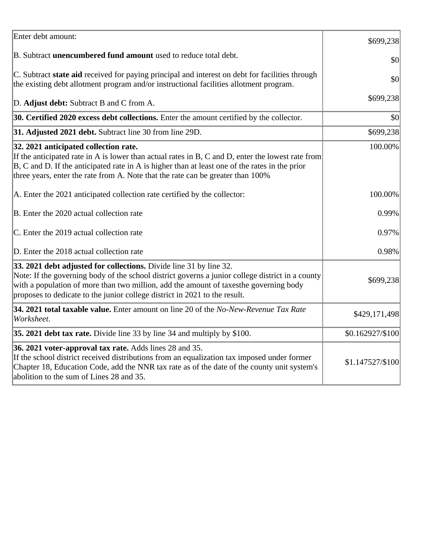| Enter debt amount:                                                                                                                                                                                                                                                                                                                            | \$699,238        |
|-----------------------------------------------------------------------------------------------------------------------------------------------------------------------------------------------------------------------------------------------------------------------------------------------------------------------------------------------|------------------|
| B. Subtract <b>unencumbered fund amount</b> used to reduce total debt.                                                                                                                                                                                                                                                                        | \$0              |
| C. Subtract state aid received for paying principal and interest on debt for facilities through<br>the existing debt allotment program and/or instructional facilities allotment program.                                                                                                                                                     | \$0              |
| D. Adjust debt: Subtract B and C from A.                                                                                                                                                                                                                                                                                                      | \$699,238        |
| 30. Certified 2020 excess debt collections. Enter the amount certified by the collector.                                                                                                                                                                                                                                                      | \$0              |
| 31. Adjusted 2021 debt. Subtract line 30 from line 29D.                                                                                                                                                                                                                                                                                       | \$699,238        |
| 32. 2021 anticipated collection rate.<br>If the anticipated rate in A is lower than actual rates in B, C and D, enter the lowest rate from<br>$ B, C$ and D. If the anticipated rate in A is higher than at least one of the rates in the prior<br>three years, enter the rate from A. Note that the rate can be greater than 100%            | 100.00%          |
| A. Enter the 2021 anticipated collection rate certified by the collector:                                                                                                                                                                                                                                                                     | 100.00%          |
| B. Enter the 2020 actual collection rate                                                                                                                                                                                                                                                                                                      | 0.99%            |
| C. Enter the 2019 actual collection rate                                                                                                                                                                                                                                                                                                      | 0.97%            |
| D. Enter the 2018 actual collection rate                                                                                                                                                                                                                                                                                                      | 0.98%            |
| 33. 2021 debt adjusted for collections. Divide line 31 by line 32.<br>Note: If the governing body of the school district governs a junior college district in a county<br>with a population of more than two million, add the amount of taxesthe governing body<br>proposes to dedicate to the junior college district in 2021 to the result. | \$699,238        |
| 34. 2021 total taxable value. Enter amount on line 20 of the No-New-Revenue Tax Rate<br>Worksheet.                                                                                                                                                                                                                                            | \$429,171,498    |
| 35. 2021 debt tax rate. Divide line 33 by line 34 and multiply by \$100.                                                                                                                                                                                                                                                                      | \$0.162927/\$100 |
| 36. 2021 voter-approval tax rate. Adds lines 28 and 35.<br>If the school district received distributions from an equalization tax imposed under former<br>Chapter 18, Education Code, add the NNR tax rate as of the date of the county unit system's<br>abolition to the sum of Lines 28 and 35.                                             | \$1.147527/\$100 |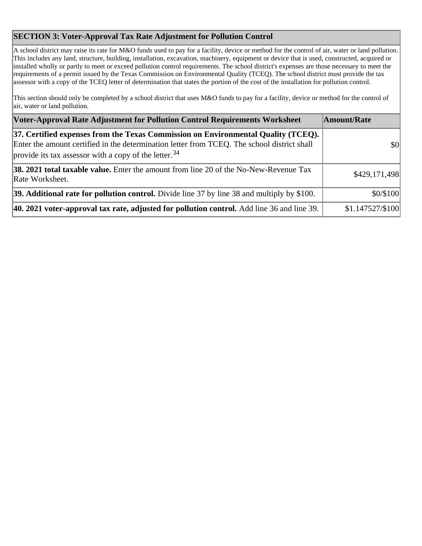## **SECTION 3: Voter-Approval Tax Rate Adjustment for Pollution Control**

A school district may raise its rate for M&O funds used to pay for a facility, device or method for the control of air, water or land pollution. This includes any land, structure, building, installation, excavation, machinery, equipment or device that is used, constructed, acquired or installed wholly or partly to meet or exceed pollution control requirements. The school district's expenses are those necessary to meet the requirements of a permit issued by the Texas Commission on Environmental Quality (TCEQ). The school district must provide the tax assessor with a copy of the TCEQ letter of determination that states the portion of the cost of the installation for pollution control.

This section should only be completed by a school district that uses M&O funds to pay for a facility, device or method for the control of air, water or land pollution.

| Voter-Approval Rate Adjustment for Pollution Control Requirements Worksheet                                                                                                                                                                            | Amount/Rate      |
|--------------------------------------------------------------------------------------------------------------------------------------------------------------------------------------------------------------------------------------------------------|------------------|
| [37. Certified expenses from the Texas Commission on Environmental Quality (TCEQ).<br>Enter the amount certified in the determination letter from TCEQ. The school district shall<br>provide its tax assessor with a copy of the letter. <sup>34</sup> | \$0              |
| <b>38. 2021 total taxable value.</b> Enter the amount from line 20 of the No-New-Revenue Tax<br>Rate Worksheet.                                                                                                                                        | \$429,171,498    |
| 39. Additional rate for pollution control. Divide line 37 by line 38 and multiply by \$100.                                                                                                                                                            | \$0/\$100        |
| 40. 2021 voter-approval tax rate, adjusted for pollution control. Add line 36 and line 39.                                                                                                                                                             | \$1.147527/\$100 |